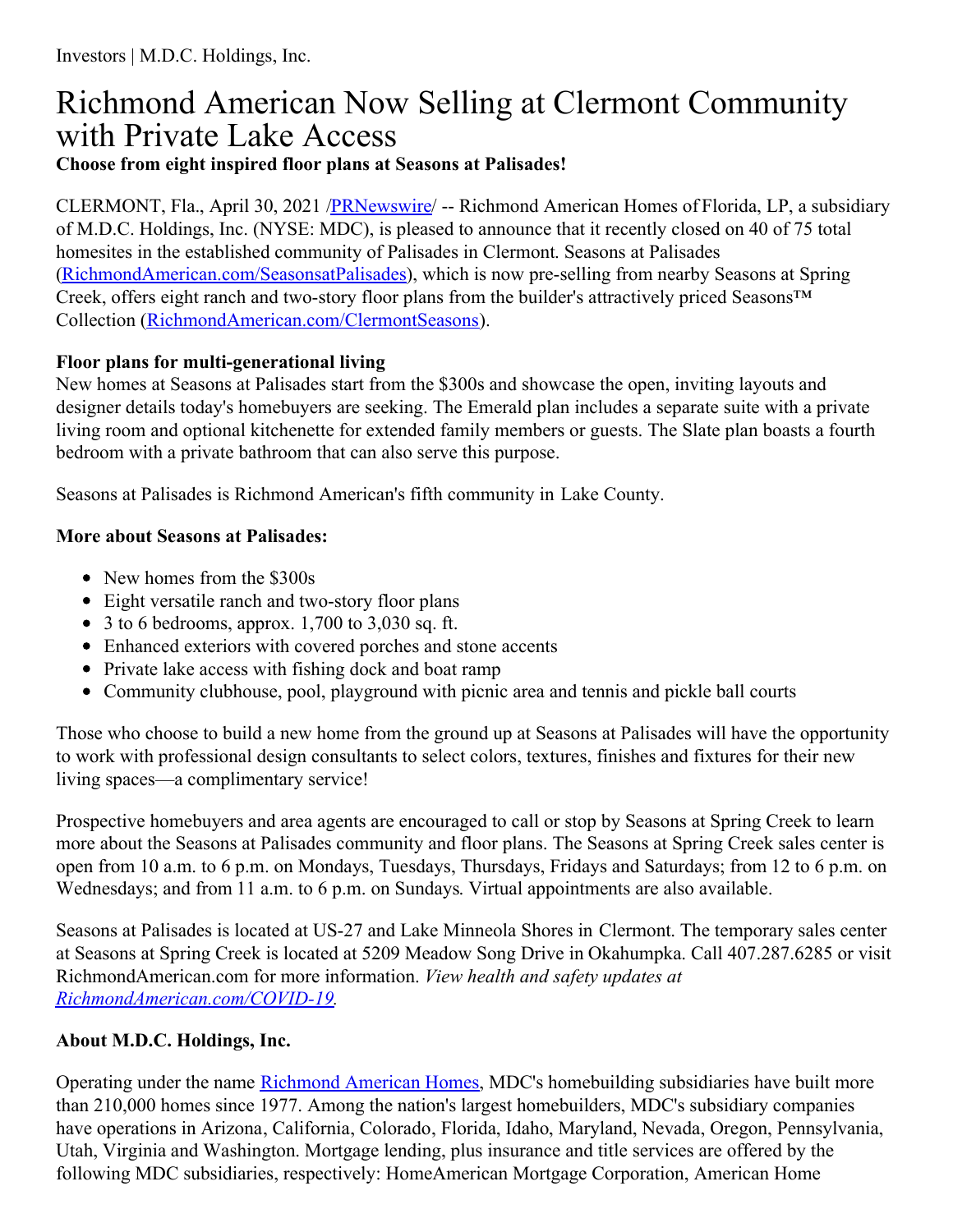## Richmond American Now Selling at Clermont Community with Private Lake Access **Choose from eight inspired floor plans at Seasons at Palisades!**

CLERMONT, Fla., April 30, 2021 [/PRNewswire](http://www.prnewswire.com/)/ -- Richmond American Homes of Florida, LP, a subsidiary of M.D.C. Holdings, Inc. (NYSE: MDC), is pleased to announce that it recently closed on 40 of 75 total homesites in the established community of Palisades in Clermont. Seasons at Palisades [\(RichmondAmerican.com/SeasonsatPalisades](https://c212.net/c/link/?t=0&l=en&o=3148431-1&h=2917809332&u=https%3A%2F%2Fwww.richmondamerican.com%2Fflorida%2Forlando-new-homes%2Fclermont%2Fseasons-at-palisades&a=RichmondAmerican.com%2FSeasonsatPalisades)), which is now pre-selling from nearby Seasons at Spring Creek, offers eight ranch and two-story floor plans from the builder's attractively priced Seasons™ Collection [\(RichmondAmerican.com/ClermontSeasons](https://c212.net/c/link/?t=0&l=en&o=3148431-1&h=1430545712&u=https%3A%2F%2Fwww.richmondamerican.com%2Fcampaigns%2F1076&a=RichmondAmerican.com%2FClermontSeasons)).

## **Floor plans for multi-generational living**

New homes at Seasons at Palisades start from the \$300s and showcase the open, inviting layouts and designer details today's homebuyers are seeking. The Emerald plan includes a separate suite with a private living room and optional kitchenette for extended family members or guests. The Slate plan boasts a fourth bedroom with a private bathroom that can also serve this purpose.

Seasons at Palisades is Richmond American's fifth community in Lake County.

## **More about Seasons at Palisades:**

- New homes from the \$300s
- Eight versatile ranch and two-story floor plans
- $\bullet$  3 to 6 bedrooms, approx. 1,700 to 3,030 sq. ft.
- Enhanced exteriors with covered porches and stone accents
- Private lake access with fishing dock and boat ramp
- Community clubhouse, pool, playground with picnic area and tennis and pickle ball courts

Those who choose to build a new home from the ground up at Seasons at Palisades will have the opportunity to work with professional design consultants to select colors, textures, finishes and fixtures for their new living spaces—a complimentary service!

Prospective homebuyers and area agents are encouraged to call or stop by Seasons at Spring Creek to learn more about the Seasons at Palisades community and floor plans. The Seasons at Spring Creek sales center is open from 10 a.m. to 6 p.m. on Mondays, Tuesdays, Thursdays, Fridays and Saturdays; from 12 to 6 p.m. on Wednesdays; and from 11 a.m. to 6 p.m. on Sundays. Virtual appointments are also available.

Seasons at Palisades is located at US-27 and Lake Minneola Shores in Clermont. The temporary sales center at Seasons at Spring Creek is located at 5209 Meadow Song Drive in Okahumpka. Call 407.287.6285 or visit RichmondAmerican.com for more information. *View health and safety updates at [RichmondAmerican.com/COVID-19](https://c212.net/c/link/?t=0&l=en&o=3148431-1&h=625830283&u=https%3A%2F%2Fwww.richmondamerican.com%2Fcovid-19&a=RichmondAmerican.com%2FCOVID-19).*

## **About M.D.C. Holdings, Inc.**

Operating under the name [Richmond](https://c212.net/c/link/?t=0&l=en&o=3148431-1&h=3503106881&u=https%3A%2F%2Fwww.richmondamerican.com%2F&a=Richmond+American+Homes) American Homes, MDC's homebuilding subsidiaries have built more than 210,000 homes since 1977. Among the nation's largest homebuilders, MDC's subsidiary companies have operations in Arizona, California, Colorado, Florida, Idaho, Maryland, Nevada, Oregon, Pennsylvania, Utah, Virginia and Washington. Mortgage lending, plus insurance and title services are offered by the following MDC subsidiaries, respectively: HomeAmerican Mortgage Corporation, American Home